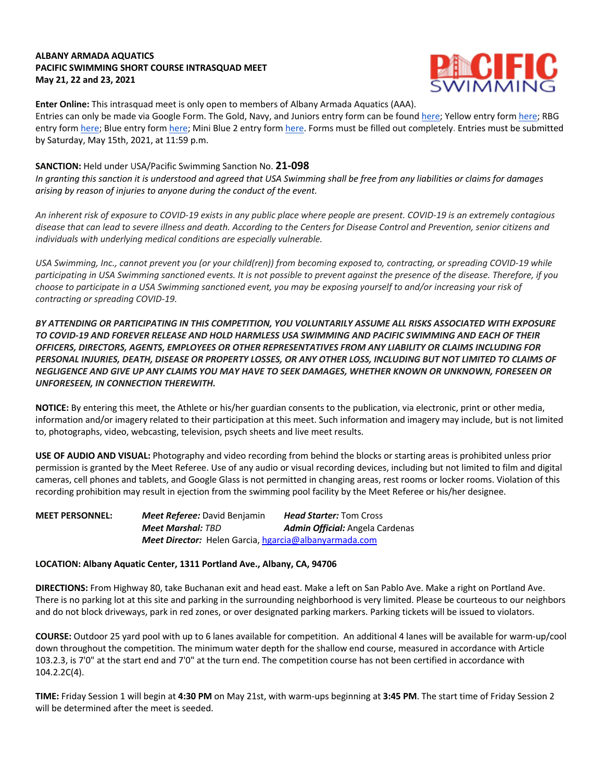## **ALBANY ARMADA AQUATICS PACIFIC SWIMMING SHORT COURSE INTRASQUAD MEET May 21, 22 and 23, 2021**



**Enter Online:** This intrasquad meet is only open to members of Albany Armada Aquatics (AAA).

Entries can only be made via Google Form. The Gold, Navy, and Juniors entry form can be found here; Yellow entry form here; RBG entry form here; Blue entry form here; Mini Blue 2 entry form here. Forms must be filled out completely. Entries must be submitted by Saturday, May 15th, 2021, at 11:59 p.m.

### **SANCTION:** Held under USA/Pacific Swimming Sanction No. **21-098**

*In granting this sanction it is understood and agreed that USA Swimming shall be free from any liabilities or claims for damages arising by reason of injuries to anyone during the conduct of the event.* 

*An inherent risk of exposure to COVID-19 exists in any public place where people are present. COVID-19 is an extremely contagious disease that can lead to severe illness and death. According to the Centers for Disease Control and Prevention, senior citizens and individuals with underlying medical conditions are especially vulnerable.*

*USA Swimming, Inc., cannot prevent you (or your child(ren)) from becoming exposed to, contracting, or spreading COVID-19 while participating in USA Swimming sanctioned events. It is not possible to prevent against the presence of the disease. Therefore, if you choose to participate in a USA Swimming sanctioned event, you may be exposing yourself to and/or increasing your risk of contracting or spreading COVID-19.*

*BY ATTENDING OR PARTICIPATING IN THIS COMPETITION, YOU VOLUNTARILY ASSUME ALL RISKS ASSOCIATED WITH EXPOSURE TO COVID-19 AND FOREVER RELEASE AND HOLD HARMLESS USA SWIMMING AND PACIFIC SWIMMING AND EACH OF THEIR OFFICERS, DIRECTORS, AGENTS, EMPLOYEES OR OTHER REPRESENTATIVES FROM ANY LIABILITY OR CLAIMS INCLUDING FOR PERSONAL INJURIES, DEATH, DISEASE OR PROPERTY LOSSES, OR ANY OTHER LOSS, INCLUDING BUT NOT LIMITED TO CLAIMS OF NEGLIGENCE AND GIVE UP ANY CLAIMS YOU MAY HAVE TO SEEK DAMAGES, WHETHER KNOWN OR UNKNOWN, FORESEEN OR UNFORESEEN, IN CONNECTION THEREWITH.*

**NOTICE:** By entering this meet, the Athlete or his/her guardian consents to the publication, via electronic, print or other media, information and/or imagery related to their participation at this meet. Such information and imagery may include, but is not limited to, photographs, video, webcasting, television, psych sheets and live meet results.

**USE OF AUDIO AND VISUAL:** Photography and video recording from behind the blocks or starting areas is prohibited unless prior permission is granted by the Meet Referee. Use of any audio or visual recording devices, including but not limited to film and digital cameras, cell phones and tablets, and Google Glass is not permitted in changing areas, rest rooms or locker rooms. Violation of this recording prohibition may result in ejection from the swimming pool facility by the Meet Referee or his/her designee.

#### **MEET PERSONNEL:** *Meet Referee:* David Benjamin *Head Starter:* Tom Cross *Meet Marshal: TBD Admin Official:* Angela Cardenas *Meet Director:* Helen Garcia, hgarcia@albanyarmada.com

#### **LOCATION: Albany Aquatic Center, 1311 Portland Ave., Albany, CA, 94706**

**DIRECTIONS:** From Highway 80, take Buchanan exit and head east. Make a left on San Pablo Ave. Make a right on Portland Ave. There is no parking lot at this site and parking in the surrounding neighborhood is very limited. Please be courteous to our neighbors and do not block driveways, park in red zones, or over designated parking markers. Parking tickets will be issued to violators.

**COURSE:** Outdoor 25 yard pool with up to 6 lanes available for competition. An additional 4 lanes will be available for warm-up/cool down throughout the competition. The minimum water depth for the shallow end course, measured in accordance with Article 103.2.3, is 7'0" at the start end and 7'0" at the turn end. The competition course has not been certified in accordance with 104.2.2C(4).

**TIME:** Friday Session 1 will begin at **4:30 PM** on May 21st, with warm-ups beginning at **3:45 PM**. The start time of Friday Session 2 will be determined after the meet is seeded.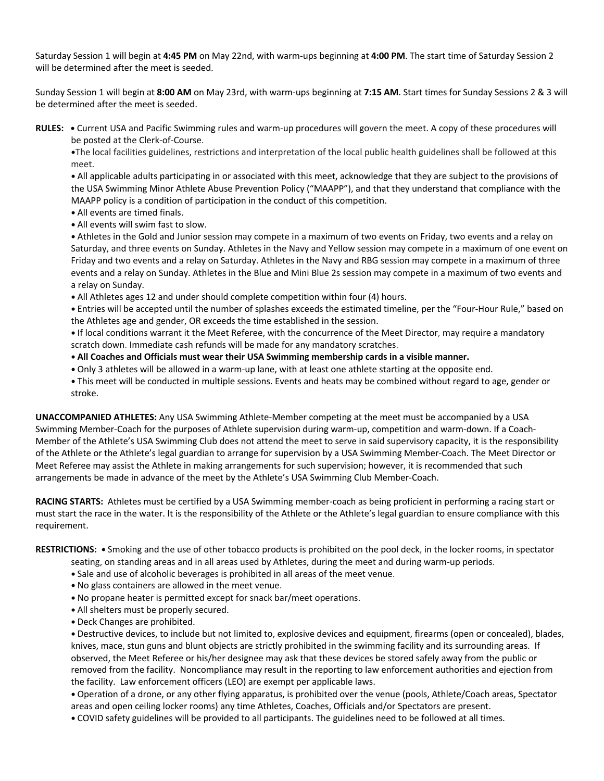Saturday Session 1 will begin at **4:45 PM** on May 22nd, with warm-ups beginning at **4:00 PM**. The start time of Saturday Session 2 will be determined after the meet is seeded.

Sunday Session 1 will begin at **8:00 AM** on May 23rd, with warm-ups beginning at **7:15 AM**. Start times for Sunday Sessions 2 & 3 will be determined after the meet is seeded.

**RULES: •** Current USA and Pacific Swimming rules and warm-up procedures will govern the meet. A copy of these procedures will be posted at the Clerk-of-Course.

**•**The local facilities guidelines, restrictions and interpretation of the local public health guidelines shall be followed at this meet.

**•** All applicable adults participating in or associated with this meet, acknowledge that they are subject to the provisions of the USA Swimming Minor Athlete Abuse Prevention Policy ("MAAPP"), and that they understand that compliance with the MAAPP policy is a condition of participation in the conduct of this competition.

- **•** All events are timed finals.
- **•** All events will swim fast to slow.

• Athletes in the Gold and Junior session may compete in a maximum of two events on Friday, two events and a relay on Saturday, and three events on Sunday. Athletes in the Navy and Yellow session may compete in a maximum of one event on Friday and two events and a relay on Saturday. Athletes in the Navy and RBG session may compete in a maximum of three events and a relay on Sunday. Athletes in the Blue and Mini Blue 2s session may compete in a maximum of two events and a relay on Sunday.

• All Athletes ages 12 and under should complete competition within four (4) hours.

**•** Entries will be accepted until the number of splashes exceeds the estimated timeline, per the "Four-Hour Rule," based on the Athletes age and gender, OR exceeds the time established in the session.

**•** If local conditions warrant it the Meet Referee, with the concurrence of the Meet Director, may require a mandatory scratch down. Immediate cash refunds will be made for any mandatory scratches.

- **• All Coaches and Officials must wear their USA Swimming membership cards in a visible manner.**
- **•** Only 3 athletes will be allowed in a warm-up lane, with at least one athlete starting at the opposite end.
- **•** This meet will be conducted in multiple sessions. Events and heats may be combined without regard to age, gender or stroke.

**UNACCOMPANIED ATHLETES:** Any USA Swimming Athlete-Member competing at the meet must be accompanied by a USA Swimming Member-Coach for the purposes of Athlete supervision during warm-up, competition and warm-down. If a Coach-Member of the Athlete's USA Swimming Club does not attend the meet to serve in said supervisory capacity, it is the responsibility of the Athlete or the Athlete's legal guardian to arrange for supervision by a USA Swimming Member-Coach. The Meet Director or Meet Referee may assist the Athlete in making arrangements for such supervision; however, it is recommended that such arrangements be made in advance of the meet by the Athlete's USA Swimming Club Member-Coach.

**RACING STARTS:** Athletes must be certified by a USA Swimming member-coach as being proficient in performing a racing start or must start the race in the water. It is the responsibility of the Athlete or the Athlete's legal guardian to ensure compliance with this requirement.

**RESTRICTIONS: •** Smoking and the use of other tobacco products is prohibited on the pool deck, in the locker rooms, in spectator

- seating, on standing areas and in all areas used by Athletes, during the meet and during warm-up periods.
- **•** Sale and use of alcoholic beverages is prohibited in all areas of the meet venue.
- **•** No glass containers are allowed in the meet venue.
- **•** No propane heater is permitted except for snack bar/meet operations.
- **•** All shelters must be properly secured.
- **•** Deck Changes are prohibited.

**•** Destructive devices, to include but not limited to, explosive devices and equipment, firearms (open or concealed), blades, knives, mace, stun guns and blunt objects are strictly prohibited in the swimming facility and its surrounding areas. If observed, the Meet Referee or his/her designee may ask that these devices be stored safely away from the public or removed from the facility. Noncompliance may result in the reporting to law enforcement authorities and ejection from the facility. Law enforcement officers (LEO) are exempt per applicable laws.

**•** Operation of a drone, or any other flying apparatus, is prohibited over the venue (pools, Athlete/Coach areas, Spectator areas and open ceiling locker rooms) any time Athletes, Coaches, Officials and/or Spectators are present.

**•** COVID safety guidelines will be provided to all participants. The guidelines need to be followed at all times.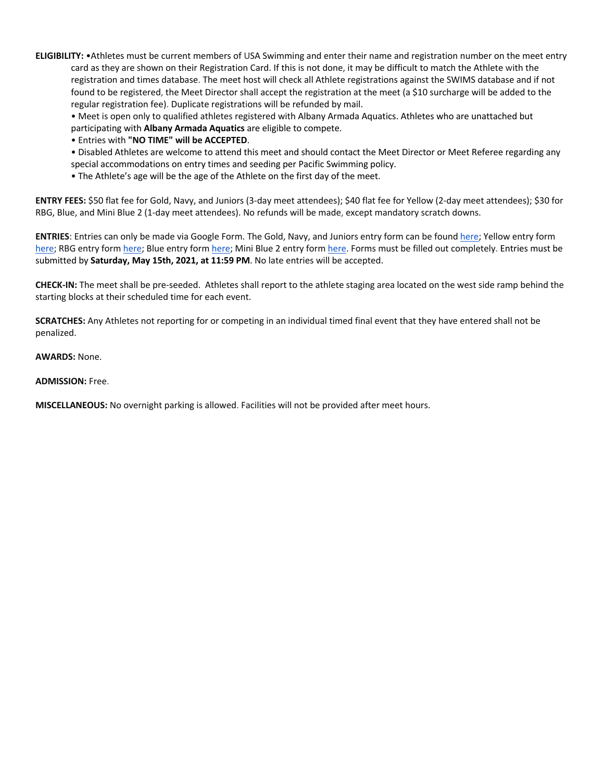**ELIGIBILITY:** •Athletes must be current members of USA Swimming and enter their name and registration number on the meet entry card as they are shown on their Registration Card. If this is not done, it may be difficult to match the Athlete with the registration and times database. The meet host will check all Athlete registrations against the SWIMS database and if not found to be registered, the Meet Director shall accept the registration at the meet (a \$10 surcharge will be added to the regular registration fee). Duplicate registrations will be refunded by mail.

• Meet is open only to qualified athletes registered with Albany Armada Aquatics. Athletes who are unattached but participating with **Albany Armada Aquatics** are eligible to compete.

• Entries with **"NO TIME" will be ACCEPTED**.

- Disabled Athletes are welcome to attend this meet and should contact the Meet Director or Meet Referee regarding any special accommodations on entry times and seeding per Pacific Swimming policy.
- The Athlete's age will be the age of the Athlete on the first day of the meet.

**ENTRY FEES:** \$50 flat fee for Gold, Navy, and Juniors (3-day meet attendees); \$40 flat fee for Yellow (2-day meet attendees); \$30 for RBG, Blue, and Mini Blue 2 (1-day meet attendees). No refunds will be made, except mandatory scratch downs.

**ENTRIES**: Entries can only be made via Google Form. The Gold, Navy, and Juniors entry form can be found here; Yellow entry form here; RBG entry form here; Blue entry form here; Mini Blue 2 entry form here. Forms must be filled out completely. Entries must be submitted by **Saturday, May 15th, 2021, at 11:59 PM**. No late entries will be accepted.

**CHECK-IN:** The meet shall be pre-seeded. Athletes shall report to the athlete staging area located on the west side ramp behind the starting blocks at their scheduled time for each event.

**SCRATCHES:** Any Athletes not reporting for or competing in an individual timed final event that they have entered shall not be penalized.

**AWARDS:** None.

#### **ADMISSION:** Free.

**MISCELLANEOUS:** No overnight parking is allowed. Facilities will not be provided after meet hours.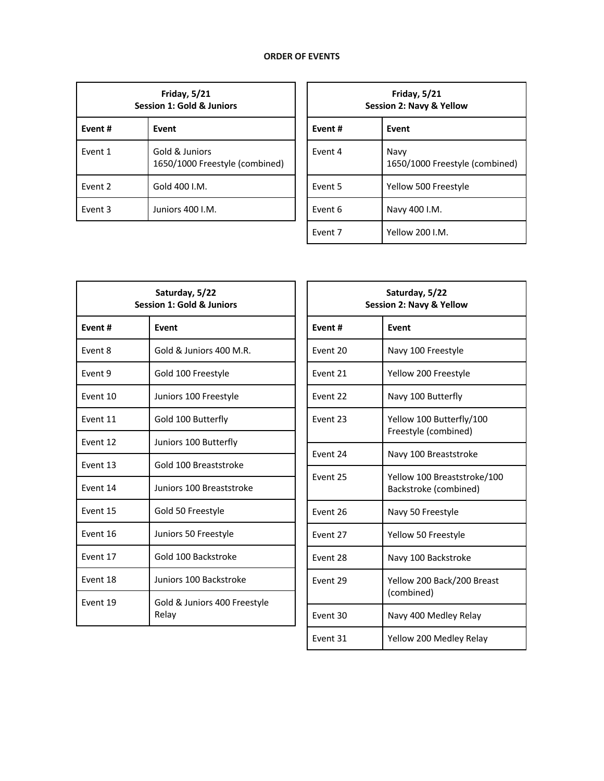# **ORDER OF EVENTS**

| <b>Friday, 5/21</b><br>Session 1: Gold & Juniors |                                                  |  |
|--------------------------------------------------|--------------------------------------------------|--|
| Event #                                          | Event                                            |  |
| Event 1                                          | Gold & Juniors<br>1650/1000 Freestyle (combined) |  |
| Fvent 2                                          | Gold 400 I.M.                                    |  |
| Fvent 3                                          | Juniors 400 LM.                                  |  |

| Friday, $5/21$<br>Session 2: Navy & Yellow |                                        |  |
|--------------------------------------------|----------------------------------------|--|
| Event#                                     | Event                                  |  |
| Fvent 4                                    | Navy<br>1650/1000 Freestyle (combined) |  |
| Event 5                                    | Yellow 500 Freestyle                   |  |
| Event 6                                    | Navy 400 I.M.                          |  |
| Fvent 7                                    | Yellow 200 I.M.                        |  |

| Saturday, 5/22<br><b>Session 1: Gold &amp; Juniors</b> |                                       |  |
|--------------------------------------------------------|---------------------------------------|--|
| Event#                                                 | Event                                 |  |
| Fvent 8                                                | Gold & Juniors 400 M.R.               |  |
| Event 9                                                | Gold 100 Freestyle                    |  |
| Event 10                                               | Juniors 100 Freestyle                 |  |
| Fvent 11                                               | Gold 100 Butterfly                    |  |
| Fvent 12                                               | Juniors 100 Butterfly                 |  |
| Fvent 13                                               | Gold 100 Breaststroke                 |  |
| Event 14                                               | Juniors 100 Breaststroke              |  |
| Event 15                                               | Gold 50 Freestyle                     |  |
| Fvent 16                                               | Juniors 50 Freestyle                  |  |
| Event 17                                               | Gold 100 Backstroke                   |  |
| Event 18                                               | Juniors 100 Backstroke                |  |
| Event 19                                               | Gold & Juniors 400 Freestyle<br>Relay |  |

| Saturday, 5/22<br><b>Session 2: Navy &amp; Yellow</b> |                                                      |  |
|-------------------------------------------------------|------------------------------------------------------|--|
| Event#                                                | Event                                                |  |
| Event 20                                              | Navy 100 Freestyle                                   |  |
| Event 21                                              | Yellow 200 Freestyle                                 |  |
| Fyent 22                                              | Navy 100 Butterfly                                   |  |
| Fvent 23                                              | Yellow 100 Butterfly/100<br>Freestyle (combined)     |  |
| Event 24                                              | Navy 100 Breaststroke                                |  |
| Event 25                                              | Yellow 100 Breaststroke/100<br>Backstroke (combined) |  |
| Event 26                                              | Navy 50 Freestyle                                    |  |
| Fvent 27                                              | Yellow 50 Freestyle                                  |  |
| Event 28                                              | Navy 100 Backstroke                                  |  |
| Event 29                                              | Yellow 200 Back/200 Breast<br>(combined)             |  |
| Event 30                                              | Navy 400 Medley Relay                                |  |
| Event 31                                              | Yellow 200 Medley Relay                              |  |